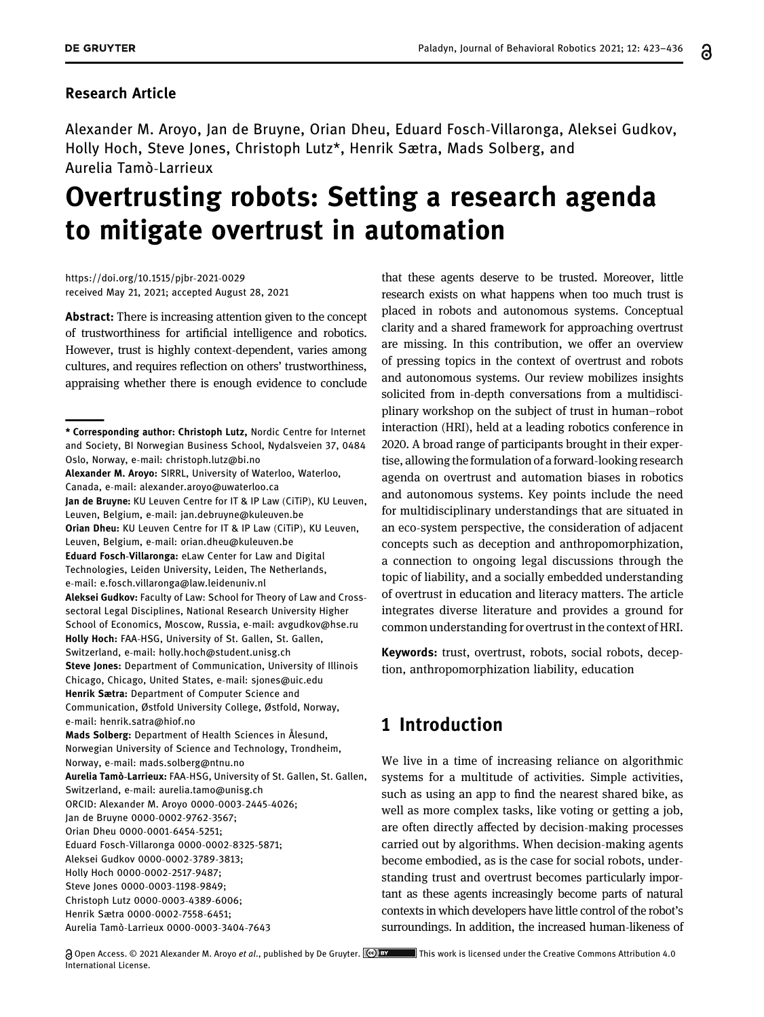### Research Article

Alexander M. Aroyo, Jan de Bruyne, Orian Dheu, Eduard Fosch-Villaronga, Aleksei Gudkov, Holly Hoch, Steve Jones, Christoph Lutz\*, Henrik Sætra, Mads Solberg, and Aurelia Tamò-Larrieux

# Overtrusting robots: Setting a research agenda to mitigate overtrust in automation

[https://doi.org/10.1515/pjbr](https://doi.org/10.1515/pjbr-2021-0029)-2021-0029 received May 21, 2021; accepted August 28, 2021

Abstract: There is increasing attention given to the concept of trustworthiness for artificial intelligence and robotics. However, trust is highly context-dependent, varies among cultures, and requires reflection on others' trustworthiness, appraising whether there is enough evidence to conclude

that these agents deserve to be trusted. Moreover, little research exists on what happens when too much trust is placed in robots and autonomous systems. Conceptual clarity and a shared framework for approaching overtrust are missing. In this contribution, we offer an overview of pressing topics in the context of overtrust and robots and autonomous systems. Our review mobilizes insights solicited from in-depth conversations from a multidisciplinary workshop on the subject of trust in human–robot interaction (HRI), held at a leading robotics conference in 2020. A broad range of participants brought in their expertise, allowing the formulation of a forward-looking research agenda on overtrust and automation biases in robotics and autonomous systems. Key points include the need for multidisciplinary understandings that are situated in an eco-system perspective, the consideration of adjacent concepts such as deception and anthropomorphization, a connection to ongoing legal discussions through the topic of liability, and a socially embedded understanding of overtrust in education and literacy matters. The article integrates diverse literature and provides a ground for common understanding for overtrust in the context of HRI.

Keywords: trust, overtrust, robots, social robots, deception, anthropomorphization liability, education

# 1 Introduction

We live in a time of increasing reliance on algorithmic systems for a multitude of activities. Simple activities, such as using an app to find the nearest shared bike, as well as more complex tasks, like voting or getting a job, are often directly affected by decision-making processes carried out by algorithms. When decision-making agents become embodied, as is the case for social robots, understanding trust and overtrust becomes particularly important as these agents increasingly become parts of natural contexts in which developers have little control of the robot's surroundings. In addition, the increased human-likeness of

Aurelia Tamò-Larrieux [0000](http://orcid.org/0000-0003-3404-7643)-0003-3404-7643

Alexander M. Aroyo: SIRRL, University of Waterloo, Waterloo, Canada, e-mail: [alexander.aroyo@uwaterloo.ca](mailto:alexander.aroyo@uwaterloo.ca) Jan de Bruyne: KU Leuven Centre for IT & IP Law (CiTiP), KU Leuven, Leuven, Belgium, e-mail: [jan.debruyne@kuleuven.be](mailto:jan.debruyne@kuleuven.be) Orian Dheu: KU Leuven Centre for IT & IP Law (CiTiP), KU Leuven, Leuven, Belgium, e-mail: [orian.dheu@kuleuven.be](mailto:orian.dheu@kuleuven.be) Eduard Fosch-Villaronga: eLaw Center for Law and Digital Technologies, Leiden University, Leiden, The Netherlands, e-mail: [e.fosch.villaronga@law.leidenuniv.nl](mailto:e.fosch.villaronga@law.leidenuniv.nl) Aleksei Gudkov: Faculty of Law: School for Theory of Law and Crosssectoral Legal Disciplines, National Research University Higher School of Economics, Moscow, Russia, e-mail: [avgudkov@hse.ru](mailto:avgudkov@hse.ru) Holly Hoch: FAA-HSG, University of St. Gallen, St. Gallen, Switzerland, e-mail: [holly.hoch@student.unisg.ch](mailto:holly.hoch@student.unisg.ch) Steve Jones: Department of Communication, University of Illinois Chicago, Chicago, United States, e-mail: [sjones@uic.edu](mailto:sjones@uic.edu) \* Corresponding author: Christoph Lutz, Nordic Centre for Internet and Society, BI Norwegian Business School, Nydalsveien 37, 0484 Oslo, Norway, e-mail: [christoph.lutz@bi.no](mailto:christoph.lutz@bi.no) Henrik Sætra: Department of Computer Science and Communication, Østfold University College, Østfold, Norway, e-mail: [henrik.satra@hiof.no](mailto:henrik.satra@hiof.no) Mads Solberg: Department of Health Sciences in Ålesund, Norwegian University of Science and Technology, Trondheim, Norway, e-mail: [mads.solberg@ntnu.no](mailto:mads.solberg@ntnu.no) Aurelia Tamò-Larrieux: FAA-HSG, University of St. Gallen, St. Gallen, Switzerland, e-mail: [aurelia.tamo@unisg.ch](mailto:aurelia.tamo@unisg.ch) ORCID: Alexander M. Aroy[o 0000](http://orcid.org/0000-0003-2445-4026)-0003-2445-4026; Jan de Bruyne [0000](http://orcid.org/0000-0002-9762-3567)-0002-9762-3567; Orian Dheu [0000](http://orcid.org/0000-0001-6454-5251)-0001-6454-5251; Eduard Fosch-Villarong[a 0000](http://orcid.org/0000-0002-8325-5871)-0002-8325-5871; Aleksei Gudko[v 0000](http://orcid.org/0000-0002-3789-3813)-0002-3789-3813; Holly Hoch [0000](http://orcid.org/0000-0002-2517-9487)-0002-2517-9487; Steve Jones [0000](http://orcid.org/0000-0003-1198-9849)-0003-1198-9849; Christoph Lut[z 0000](http://orcid.org/0000-0003-4389-6006)-0003-4389-6006; Henrik Sætra [0000](http://orcid.org/0000-0002-7558-6451)-0002-7558-6451;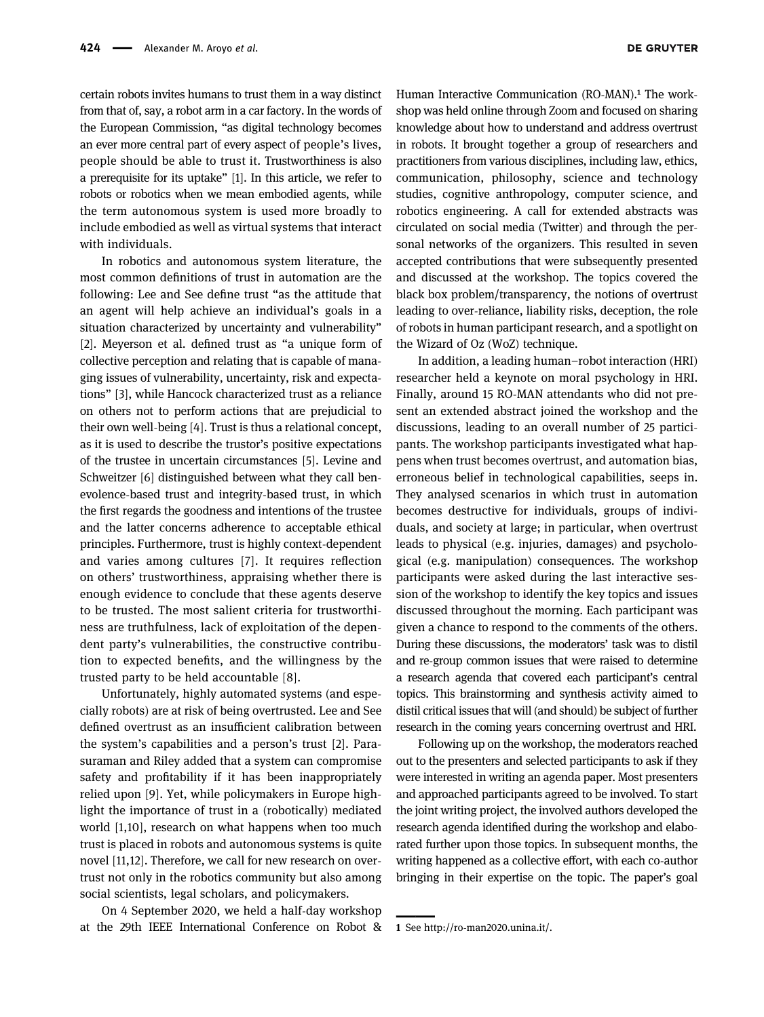certain robots invites humans to trust them in a way distinct from that of, say, a robot arm in a car factory. In the words of the European Commission, "as digital technology becomes an ever more central part of every aspect of people's lives, people should be able to trust it. Trustworthiness is also a prerequisite for its uptake" [[1](#page-10-0)]. In this article, we refer to robots or robotics when we mean embodied agents, while the term autonomous system is used more broadly to include embodied as well as virtual systems that interact with individuals.

In robotics and autonomous system literature, the most common definitions of trust in automation are the following: Lee and See define trust "as the attitude that an agent will help achieve an individual's goals in a situation characterized by uncertainty and vulnerability" [[2](#page-10-1)]. Meyerson et al. defined trust as "a unique form of collective perception and relating that is capable of managing issues of vulnerability, uncertainty, risk and expectations" [[3](#page-10-2)], while Hancock characterized trust as a reliance on others not to perform actions that are prejudicial to their own well-being [[4](#page-10-3)]. Trust is thus a relational concept, as it is used to describe the trustor's positive expectations of the trustee in uncertain circumstances [[5](#page-11-0)]. Levine and Schweitzer [[6](#page-11-1)] distinguished between what they call benevolence-based trust and integrity-based trust, in which the first regards the goodness and intentions of the trustee and the latter concerns adherence to acceptable ethical principles. Furthermore, trust is highly context-dependent and varies among cultures [[7](#page-11-2)]. It requires reflection on others' trustworthiness, appraising whether there is enough evidence to conclude that these agents deserve to be trusted. The most salient criteria for trustworthiness are truthfulness, lack of exploitation of the dependent party's vulnerabilities, the constructive contribution to expected benefits, and the willingness by the trusted party to be held accountable [[8](#page-11-3)].

Unfortunately, highly automated systems (and especially robots) are at risk of being overtrusted. Lee and See defined overtrust as an insufficient calibration between the system's capabilities and a person's trust [[2](#page-10-1)]. Parasuraman and Riley added that a system can compromise safety and profitability if it has been inappropriately relied upon [[9](#page-11-4)]. Yet, while policymakers in Europe highlight the importance of trust in a (robotically) mediated world [[1](#page-10-0)[,10](#page-11-5)], research on what happens when too much trust is placed in robots and autonomous systems is quite novel [[11](#page-11-6)[,12](#page-11-7)]. Therefore, we call for new research on overtrust not only in the robotics community but also among social scientists, legal scholars, and policymakers.

On 4 September 2020, we held a half-day workshop at the 29th IEEE International Conference on Robot &

Human Interactive Communication (RO-MAN).<sup>1</sup> The workshop was held online through Zoom and focused on sharing knowledge about how to understand and address overtrust in robots. It brought together a group of researchers and practitioners from various disciplines, including law, ethics, communication, philosophy, science and technology studies, cognitive anthropology, computer science, and robotics engineering. A call for extended abstracts was circulated on social media (Twitter) and through the personal networks of the organizers. This resulted in seven accepted contributions that were subsequently presented and discussed at the workshop. The topics covered the black box problem/transparency, the notions of overtrust leading to over-reliance, liability risks, deception, the role of robots in human participant research, and a spotlight on the Wizard of Oz (WoZ) technique.

In addition, a leading human–robot interaction (HRI) researcher held a keynote on moral psychology in HRI. Finally, around 15 RO-MAN attendants who did not present an extended abstract joined the workshop and the discussions, leading to an overall number of 25 participants. The workshop participants investigated what happens when trust becomes overtrust, and automation bias, erroneous belief in technological capabilities, seeps in. They analysed scenarios in which trust in automation becomes destructive for individuals, groups of individuals, and society at large; in particular, when overtrust leads to physical (e.g. injuries, damages) and psychological (e.g. manipulation) consequences. The workshop participants were asked during the last interactive session of the workshop to identify the key topics and issues discussed throughout the morning. Each participant was given a chance to respond to the comments of the others. During these discussions, the moderators' task was to distil and re-group common issues that were raised to determine a research agenda that covered each participant's central topics. This brainstorming and synthesis activity aimed to distil critical issues that will (and should) be subject of further research in the coming years concerning overtrust and HRI.

Following up on the workshop, the moderators reached out to the presenters and selected participants to ask if they were interested in writing an agenda paper. Most presenters and approached participants agreed to be involved. To start the joint writing project, the involved authors developed the research agenda identified during the workshop and elaborated further upon those topics. In subsequent months, the writing happened as a collective effort, with each co-author bringing in their expertise on the topic. The paper's goal

<span id="page-1-0"></span> $\overline{\phantom{a}}$ 

<sup>1</sup> See http://ro-[man2020.unina.it/.](http://ro-man2020.unina.it/)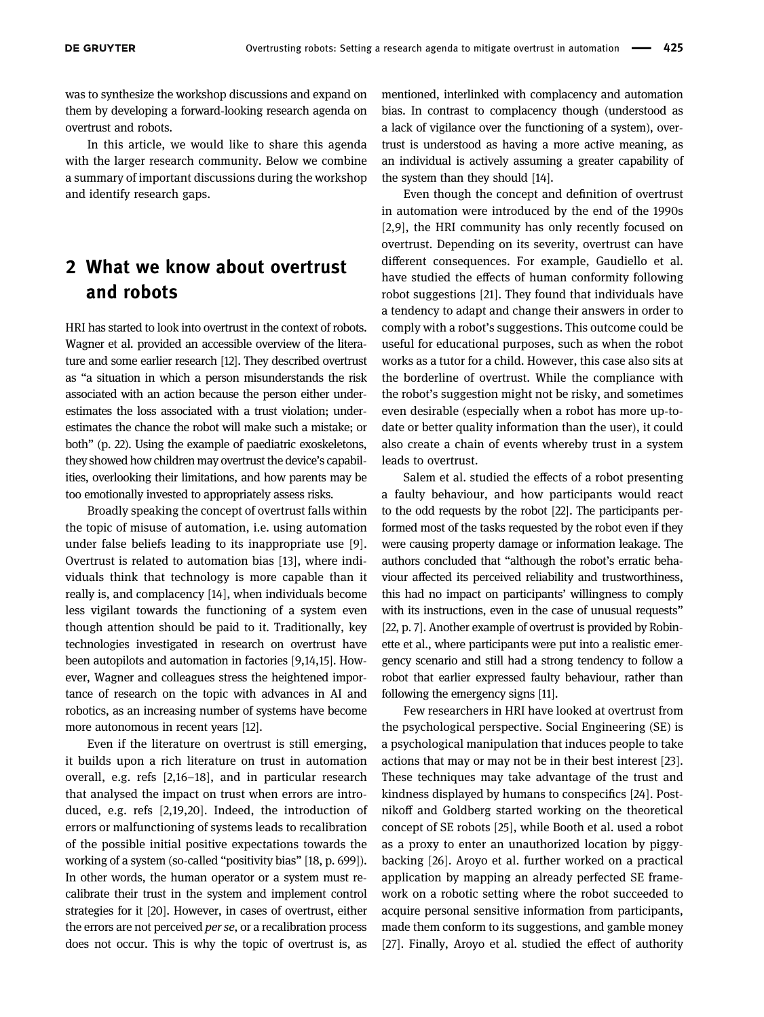was to synthesize the workshop discussions and expand on them by developing a forward-looking research agenda on overtrust and robots.

In this article, we would like to share this agenda with the larger research community. Below we combine a summary of important discussions during the workshop and identify research gaps.

# 2 What we know about overtrust and robots

HRI has started to look into overtrust in the context of robots. Wagner et al. provided an accessible overview of the literature and some earlier research [[12](#page-11-7)]. They described overtrust as "a situation in which a person misunderstands the risk associated with an action because the person either underestimates the loss associated with a trust violation; underestimates the chance the robot will make such a mistake; or both" (p. 22). Using the example of paediatric exoskeletons, they showed how children may overtrust the device's capabilities, overlooking their limitations, and how parents may be too emotionally invested to appropriately assess risks.

Broadly speaking the concept of overtrust falls within the topic of misuse of automation, i.e. using automation under false beliefs leading to its inappropriate use [[9](#page-11-4)]. Overtrust is related to automation bias [[13](#page-11-8)], where individuals think that technology is more capable than it really is, and complacency [[14](#page-11-9)], when individuals become less vigilant towards the functioning of a system even though attention should be paid to it. Traditionally, key technologies investigated in research on overtrust have been autopilots and automation in factories [[9](#page-11-4)[,14](#page-11-9),[15](#page-11-10)]. However, Wagner and colleagues stress the heightened importance of research on the topic with advances in AI and robotics, as an increasing number of systems have become more autonomous in recent years [[12](#page-11-7)].

Even if the literature on overtrust is still emerging, it builds upon a rich literature on trust in automation overall, e.g. refs [[2](#page-10-1)[,16](#page-11-11)–[18](#page-11-12)], and in particular research that analysed the impact on trust when errors are introduced, e.g. refs [[2,](#page-10-1)[19](#page-11-13)[,20](#page-11-14)]. Indeed, the introduction of errors or malfunctioning of systems leads to recalibration of the possible initial positive expectations towards the working of a system (so-called "positivity bias" [[18,](#page-11-12) p. 699]). In other words, the human operator or a system must recalibrate their trust in the system and implement control strategies for it [[20](#page-11-14)]. However, in cases of overtrust, either the errors are not perceived *per se*, or a recalibration process does not occur. This is why the topic of overtrust is, as mentioned, interlinked with complacency and automation bias. In contrast to complacency though (understood as a lack of vigilance over the functioning of a system), overtrust is understood as having a more active meaning, as an individual is actively assuming a greater capability of the system than they should [[14](#page-11-9)].

Even though the concept and definition of overtrust in automation were introduced by the end of the 1990s [[2](#page-10-1),[9](#page-11-4)], the HRI community has only recently focused on overtrust. Depending on its severity, overtrust can have different consequences. For example, Gaudiello et al. have studied the effects of human conformity following robot suggestions [[21](#page-11-15)]. They found that individuals have a tendency to adapt and change their answers in order to comply with a robot's suggestions. This outcome could be useful for educational purposes, such as when the robot works as a tutor for a child. However, this case also sits at the borderline of overtrust. While the compliance with the robot's suggestion might not be risky, and sometimes even desirable (especially when a robot has more up-todate or better quality information than the user), it could also create a chain of events whereby trust in a system leads to overtrust.

Salem et al. studied the effects of a robot presenting a faulty behaviour, and how participants would react to the odd requests by the robot [[22](#page-11-16)]. The participants performed most of the tasks requested by the robot even if they were causing property damage or information leakage. The authors concluded that "although the robot's erratic behaviour affected its perceived reliability and trustworthiness, this had no impact on participants' willingness to comply with its instructions, even in the case of unusual requests" [[22,](#page-11-16) p. 7]. Another example of overtrust is provided by Robinette et al., where participants were put into a realistic emergency scenario and still had a strong tendency to follow a robot that earlier expressed faulty behaviour, rather than following the emergency signs [[11](#page-11-6)].

Few researchers in HRI have looked at overtrust from the psychological perspective. Social Engineering (SE) is a psychological manipulation that induces people to take actions that may or may not be in their best interest [[23](#page-11-17)]. These techniques may take advantage of the trust and kindness displayed by humans to conspecifics [[24](#page-11-18)]. Postnikoff and Goldberg started working on the theoretical concept of SE robots [[25](#page-11-19)], while Booth et al. used a robot as a proxy to enter an unauthorized location by piggybacking [[26](#page-11-20)]. Aroyo et al. further worked on a practical application by mapping an already perfected SE framework on a robotic setting where the robot succeeded to acquire personal sensitive information from participants, made them conform to its suggestions, and gamble money [[27](#page-11-21)]. Finally, Aroyo et al. studied the effect of authority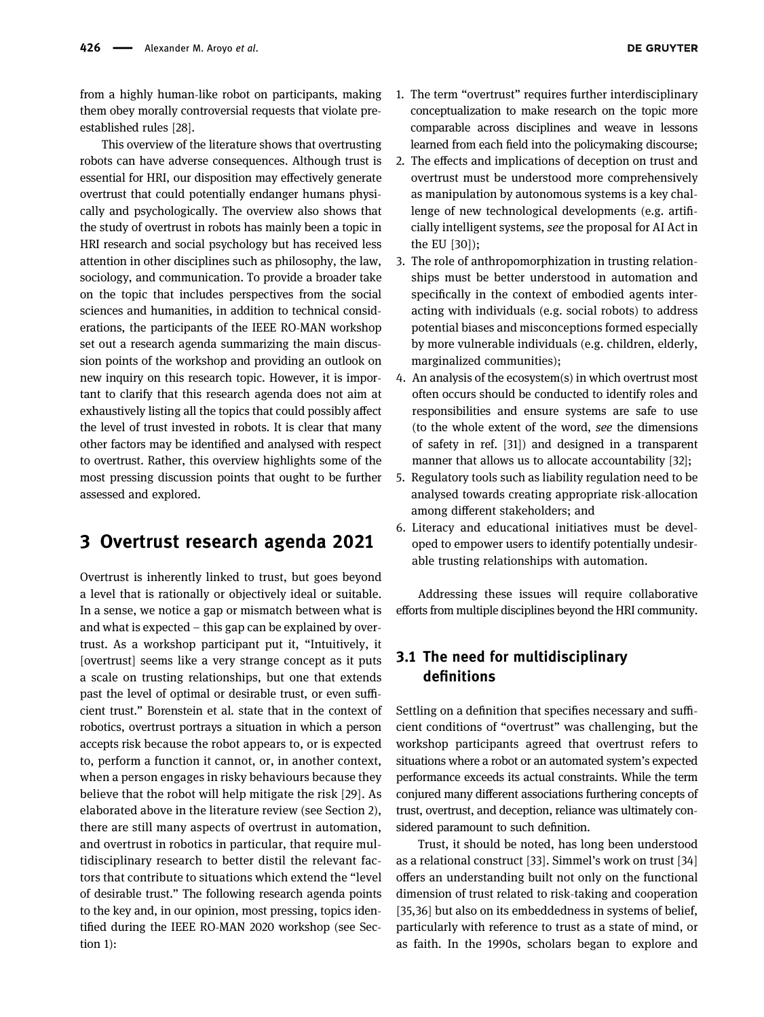from a highly human-like robot on participants, making them obey morally controversial requests that violate preestablished rules [[28](#page-11-22)].

This overview of the literature shows that overtrusting robots can have adverse consequences. Although trust is essential for HRI, our disposition may effectively generate overtrust that could potentially endanger humans physically and psychologically. The overview also shows that the study of overtrust in robots has mainly been a topic in HRI research and social psychology but has received less attention in other disciplines such as philosophy, the law, sociology, and communication. To provide a broader take on the topic that includes perspectives from the social sciences and humanities, in addition to technical considerations, the participants of the IEEE RO-MAN workshop set out a research agenda summarizing the main discussion points of the workshop and providing an outlook on new inquiry on this research topic. However, it is important to clarify that this research agenda does not aim at exhaustively listing all the topics that could possibly affect the level of trust invested in robots. It is clear that many other factors may be identified and analysed with respect to overtrust. Rather, this overview highlights some of the most pressing discussion points that ought to be further assessed and explored.

# 3 Overtrust research agenda 2021

Overtrust is inherently linked to trust, but goes beyond a level that is rationally or objectively ideal or suitable. In a sense, we notice a gap or mismatch between what is and what is expected – this gap can be explained by overtrust. As a workshop participant put it, "Intuitively, it [overtrust] seems like a very strange concept as it puts a scale on trusting relationships, but one that extends past the level of optimal or desirable trust, or even sufficient trust." Borenstein et al. state that in the context of robotics, overtrust portrays a situation in which a person accepts risk because the robot appears to, or is expected to, perform a function it cannot, or, in another context, when a person engages in risky behaviours because they believe that the robot will help mitigate the risk [[29](#page-11-23)]. As elaborated above in the literature review (see Section 2), there are still many aspects of overtrust in automation, and overtrust in robotics in particular, that require multidisciplinary research to better distil the relevant factors that contribute to situations which extend the "level of desirable trust." The following research agenda points to the key and, in our opinion, most pressing, topics identified during the IEEE RO-MAN 2020 workshop (see Section 1):

- 1. The term "overtrust" requires further interdisciplinary conceptualization to make research on the topic more comparable across disciplines and weave in lessons learned from each field into the policymaking discourse;
- 2. The effects and implications of deception on trust and overtrust must be understood more comprehensively as manipulation by autonomous systems is a key challenge of new technological developments (e.g. artificially intelligent systems, see the proposal for AI Act in the EU [[30](#page-11-24)]);
- 3. The role of anthropomorphization in trusting relationships must be better understood in automation and specifically in the context of embodied agents interacting with individuals (e.g. social robots) to address potential biases and misconceptions formed especially by more vulnerable individuals (e.g. children, elderly, marginalized communities);
- 4. An analysis of the ecosystem(s) in which overtrust most often occurs should be conducted to identify roles and responsibilities and ensure systems are safe to use (to the whole extent of the word, see the dimensions of safety in ref. [[31](#page-11-25)]) and designed in a transparent manner that allows us to allocate accountability [[32](#page-11-26)];
- 5. Regulatory tools such as liability regulation need to be analysed towards creating appropriate risk-allocation among different stakeholders; and
- 6. Literacy and educational initiatives must be developed to empower users to identify potentially undesirable trusting relationships with automation.

Addressing these issues will require collaborative efforts from multiple disciplines beyond the HRI community.

## 3.1 The need for multidisciplinary definitions

Settling on a definition that specifies necessary and sufficient conditions of "overtrust" was challenging, but the workshop participants agreed that overtrust refers to situations where a robot or an automated system's expected performance exceeds its actual constraints. While the term conjured many different associations furthering concepts of trust, overtrust, and deception, reliance was ultimately considered paramount to such definition.

Trust, it should be noted, has long been understood as a relational construct [[33](#page-11-27)]. Simmel's work on trust [[34](#page-11-28)] offers an understanding built not only on the functional dimension of trust related to risk-taking and cooperation [[35](#page-11-29)[,36](#page-11-30)] but also on its embeddedness in systems of belief, particularly with reference to trust as a state of mind, or as faith. In the 1990s, scholars began to explore and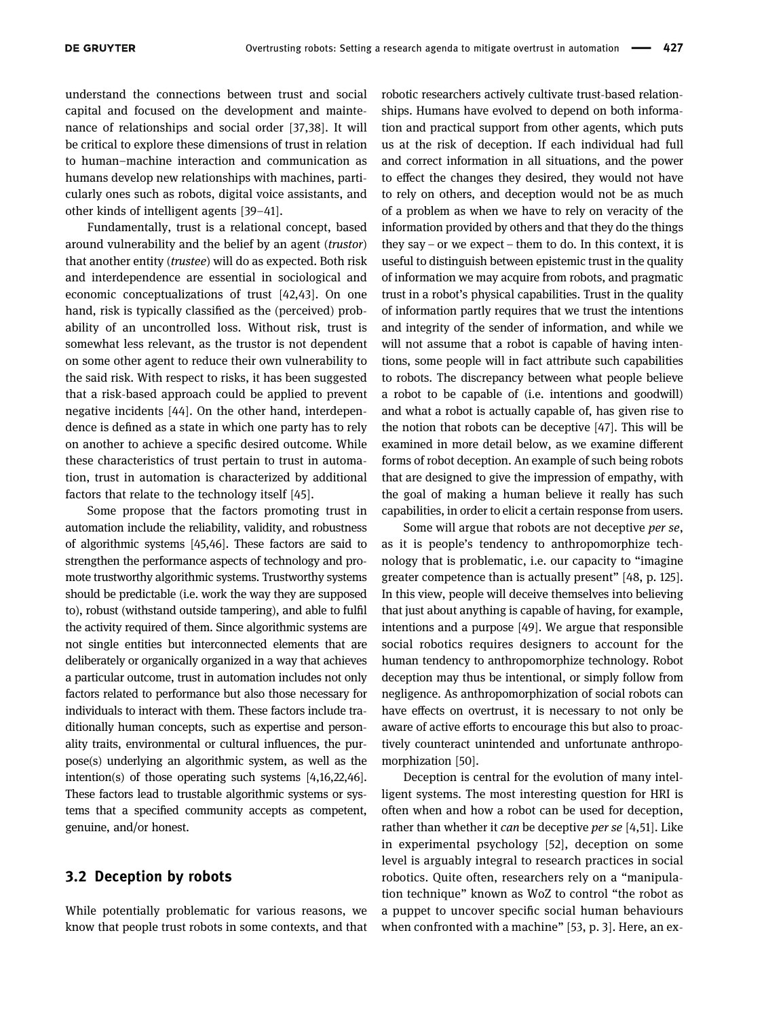understand the connections between trust and social capital and focused on the development and maintenance of relationships and social order [[37,](#page-11-31)[38](#page-11-32)]. It will be critical to explore these dimensions of trust in relation to human–machine interaction and communication as humans develop new relationships with machines, particularly ones such as robots, digital voice assistants, and other kinds of intelligent agents [[39](#page-11-33)–[41](#page-12-0)].

Fundamentally, trust is a relational concept, based around vulnerability and the belief by an agent (trustor) that another entity (trustee) will do as expected. Both risk and interdependence are essential in sociological and economic conceptualizations of trust [[42](#page-12-1),[43](#page-12-2)]. On one hand, risk is typically classified as the (perceived) probability of an uncontrolled loss. Without risk, trust is somewhat less relevant, as the trustor is not dependent on some other agent to reduce their own vulnerability to the said risk. With respect to risks, it has been suggested that a risk-based approach could be applied to prevent negative incidents [[44](#page-12-3)]. On the other hand, interdependence is defined as a state in which one party has to rely on another to achieve a specific desired outcome. While these characteristics of trust pertain to trust in automation, trust in automation is characterized by additional factors that relate to the technology itself [[45](#page-12-4)].

Some propose that the factors promoting trust in automation include the reliability, validity, and robustness of algorithmic systems [[45,](#page-12-4)[46](#page-12-5)]. These factors are said to strengthen the performance aspects of technology and promote trustworthy algorithmic systems. Trustworthy systems should be predictable (i.e. work the way they are supposed to), robust (withstand outside tampering), and able to fulfil the activity required of them. Since algorithmic systems are not single entities but interconnected elements that are deliberately or organically organized in a way that achieves a particular outcome, trust in automation includes not only factors related to performance but also those necessary for individuals to interact with them. These factors include traditionally human concepts, such as expertise and personality traits, environmental or cultural influences, the purpose(s) underlying an algorithmic system, as well as the intention(s) of those operating such systems [[4,](#page-10-3)[16](#page-11-11)[,22](#page-11-16)[,46](#page-12-5)]. These factors lead to trustable algorithmic systems or systems that a specified community accepts as competent, genuine, and/or honest.

#### 3.2 Deception by robots

While potentially problematic for various reasons, we know that people trust robots in some contexts, and that robotic researchers actively cultivate trust-based relationships. Humans have evolved to depend on both information and practical support from other agents, which puts us at the risk of deception. If each individual had full and correct information in all situations, and the power to effect the changes they desired, they would not have to rely on others, and deception would not be as much of a problem as when we have to rely on veracity of the information provided by others and that they do the things they say – or we expect – them to do. In this context, it is useful to distinguish between epistemic trust in the quality of information we may acquire from robots, and pragmatic trust in a robot's physical capabilities. Trust in the quality of information partly requires that we trust the intentions and integrity of the sender of information, and while we will not assume that a robot is capable of having intentions, some people will in fact attribute such capabilities to robots. The discrepancy between what people believe a robot to be capable of (i.e. intentions and goodwill) and what a robot is actually capable of, has given rise to the notion that robots can be deceptive [[47](#page-12-6)]. This will be examined in more detail below, as we examine different forms of robot deception. An example of such being robots that are designed to give the impression of empathy, with the goal of making a human believe it really has such capabilities, in order to elicit a certain response from users.

Some will argue that robots are not deceptive per se, as it is people's tendency to anthropomorphize technology that is problematic, i.e. our capacity to "imagine greater competence than is actually present" [[48,](#page-12-7) p. 125]. In this view, people will deceive themselves into believing that just about anything is capable of having, for example, intentions and a purpose [[49](#page-12-8)]. We argue that responsible social robotics requires designers to account for the human tendency to anthropomorphize technology. Robot deception may thus be intentional, or simply follow from negligence. As anthropomorphization of social robots can have effects on overtrust, it is necessary to not only be aware of active efforts to encourage this but also to proactively counteract unintended and unfortunate anthropomorphization [[50](#page-12-9)].

Deception is central for the evolution of many intelligent systems. The most interesting question for HRI is often when and how a robot can be used for deception, rather than whether it can be deceptive per se [[4](#page-10-3),[51](#page-12-10)]. Like in experimental psychology [[52](#page-12-11)], deception on some level is arguably integral to research practices in social robotics. Quite often, researchers rely on a "manipulation technique" known as WoZ to control "the robot as a puppet to uncover specific social human behaviours when confronted with a machine" [[53](#page-12-12), p. 3]. Here, an ex-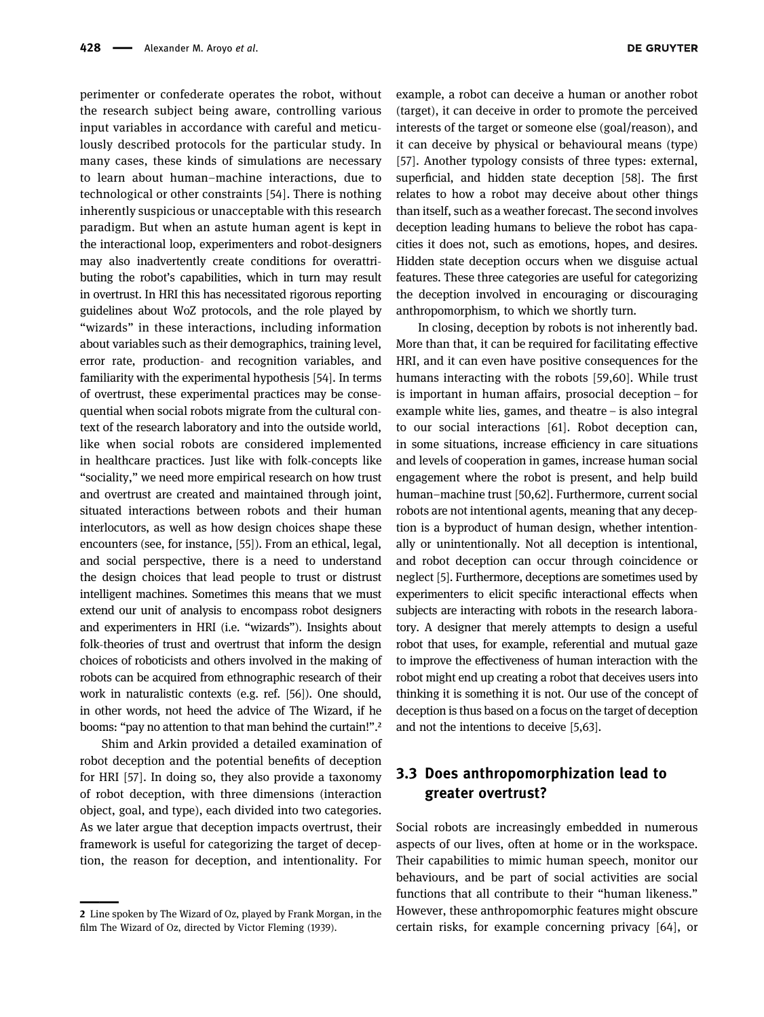perimenter or confederate operates the robot, without the research subject being aware, controlling various input variables in accordance with careful and meticulously described protocols for the particular study. In many cases, these kinds of simulations are necessary to learn about human–machine interactions, due to technological or other constraints [[54](#page-12-13)]. There is nothing inherently suspicious or unacceptable with this research paradigm. But when an astute human agent is kept in the interactional loop, experimenters and robot-designers may also inadvertently create conditions for overattributing the robot's capabilities, which in turn may result in overtrust. In HRI this has necessitated rigorous reporting guidelines about WoZ protocols, and the role played by "wizards" in these interactions, including information about variables such as their demographics, training level, error rate, production- and recognition variables, and familiarity with the experimental hypothesis [[54](#page-12-13)]. In terms of overtrust, these experimental practices may be consequential when social robots migrate from the cultural context of the research laboratory and into the outside world, like when social robots are considered implemented in healthcare practices. Just like with folk-concepts like "sociality," we need more empirical research on how trust and overtrust are created and maintained through joint, situated interactions between robots and their human interlocutors, as well as how design choices shape these encounters (see, for instance, [[55](#page-12-14)]). From an ethical, legal, and social perspective, there is a need to understand the design choices that lead people to trust or distrust intelligent machines. Sometimes this means that we must extend our unit of analysis to encompass robot designers and experimenters in HRI (i.e. "wizards"). Insights about folk-theories of trust and overtrust that inform the design choices of roboticists and others involved in the making of robots can be acquired from ethnographic research of their work in naturalistic contexts (e.g. ref. [[56](#page-12-15)]). One should, in other words, not heed the advice of The Wizard, if he booms: "pay no attention to that man behind the curtain!".<sup>2</sup>

Shim and Arkin provided a detailed examination of robot deception and the potential benefits of deception for HRI [[57](#page-12-16)]. In doing so, they also provide a taxonomy of robot deception, with three dimensions (interaction object, goal, and type), each divided into two categories. As we later argue that deception impacts overtrust, their framework is useful for categorizing the target of deception, the reason for deception, and intentionality. For

<span id="page-5-0"></span>

example, a robot can deceive a human or another robot (target), it can deceive in order to promote the perceived interests of the target or someone else (goal/reason), and it can deceive by physical or behavioural means (type) [[57](#page-12-16)]. Another typology consists of three types: external, superficial, and hidden state deception [[58](#page-12-17)]. The first relates to how a robot may deceive about other things than itself, such as a weather forecast. The second involves deception leading humans to believe the robot has capacities it does not, such as emotions, hopes, and desires. Hidden state deception occurs when we disguise actual features. These three categories are useful for categorizing the deception involved in encouraging or discouraging anthropomorphism, to which we shortly turn.

In closing, deception by robots is not inherently bad. More than that, it can be required for facilitating effective HRI, and it can even have positive consequences for the humans interacting with the robots [[59,](#page-12-18)[60](#page-12-19)]. While trust is important in human affairs, prosocial deception – for example white lies, games, and theatre – is also integral to our social interactions [[61](#page-12-20)]. Robot deception can, in some situations, increase efficiency in care situations and levels of cooperation in games, increase human social engagement where the robot is present, and help build human–machine trust [[50](#page-12-9),[62](#page-12-21)]. Furthermore, current social robots are not intentional agents, meaning that any deception is a byproduct of human design, whether intentionally or unintentionally. Not all deception is intentional, and robot deception can occur through coincidence or neglect [[5](#page-11-0)]. Furthermore, deceptions are sometimes used by experimenters to elicit specific interactional effects when subjects are interacting with robots in the research laboratory. A designer that merely attempts to design a useful robot that uses, for example, referential and mutual gaze to improve the effectiveness of human interaction with the robot might end up creating a robot that deceives users into thinking it is something it is not. Our use of the concept of deception is thus based on a focus on the target of deception and not the intentions to deceive [[5](#page-11-0)[,63](#page-12-22)].

## 3.3 Does anthropomorphization lead to greater overtrust?

Social robots are increasingly embedded in numerous aspects of our lives, often at home or in the workspace. Their capabilities to mimic human speech, monitor our behaviours, and be part of social activities are social functions that all contribute to their "human likeness." However, these anthropomorphic features might obscure certain risks, for example concerning privacy [[64](#page-12-23)], or

<sup>2</sup> Line spoken by The Wizard of Oz, played by Frank Morgan, in the film The Wizard of Oz, directed by Victor Fleming (1939).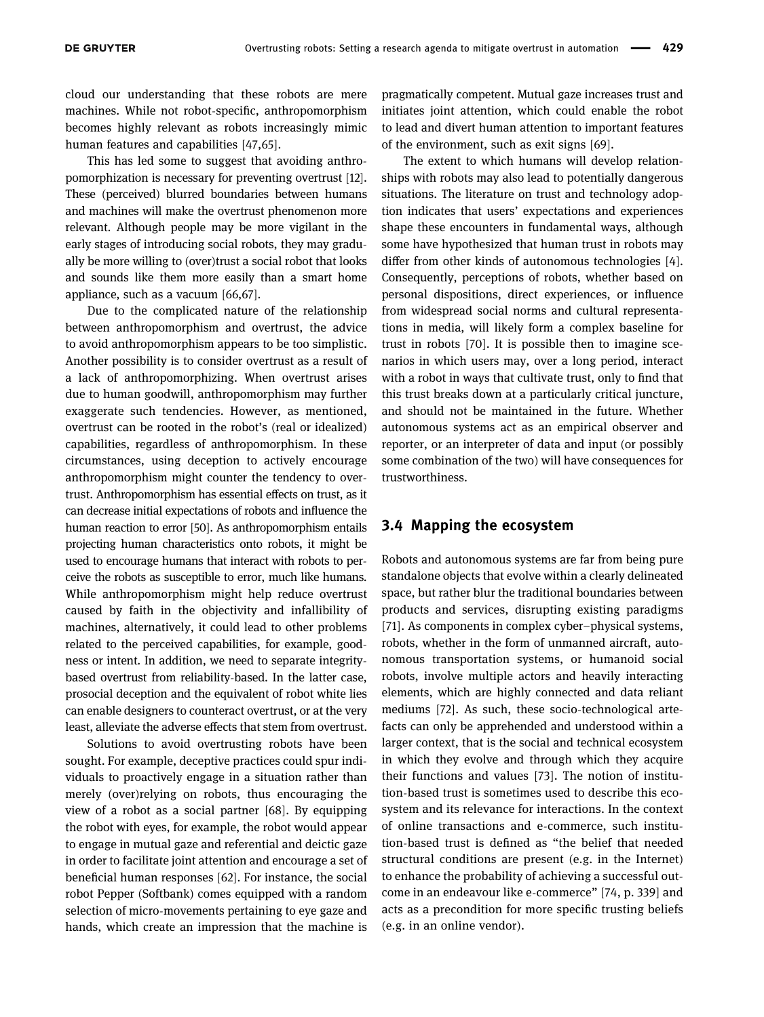cloud our understanding that these robots are mere machines. While not robot-specific, anthropomorphism becomes highly relevant as robots increasingly mimic human features and capabilities [[47](#page-12-6),[65](#page-12-24)].

This has led some to suggest that avoiding anthropomorphization is necessary for preventing overtrust [[12](#page-11-7)]. These (perceived) blurred boundaries between humans and machines will make the overtrust phenomenon more relevant. Although people may be more vigilant in the early stages of introducing social robots, they may gradually be more willing to (over)trust a social robot that looks and sounds like them more easily than a smart home appliance, such as a vacuum [[66,](#page-12-25)[67](#page-12-26)].

Due to the complicated nature of the relationship between anthropomorphism and overtrust, the advice to avoid anthropomorphism appears to be too simplistic. Another possibility is to consider overtrust as a result of a lack of anthropomorphizing. When overtrust arises due to human goodwill, anthropomorphism may further exaggerate such tendencies. However, as mentioned, overtrust can be rooted in the robot's (real or idealized) capabilities, regardless of anthropomorphism. In these circumstances, using deception to actively encourage anthropomorphism might counter the tendency to overtrust. Anthropomorphism has essential effects on trust, as it can decrease initial expectations of robots and influence the human reaction to error [[50](#page-12-9)]. As anthropomorphism entails projecting human characteristics onto robots, it might be used to encourage humans that interact with robots to perceive the robots as susceptible to error, much like humans. While anthropomorphism might help reduce overtrust caused by faith in the objectivity and infallibility of machines, alternatively, it could lead to other problems related to the perceived capabilities, for example, goodness or intent. In addition, we need to separate integritybased overtrust from reliability-based. In the latter case, prosocial deception and the equivalent of robot white lies can enable designers to counteract overtrust, or at the very least, alleviate the adverse effects that stem from overtrust.

Solutions to avoid overtrusting robots have been sought. For example, deceptive practices could spur individuals to proactively engage in a situation rather than merely (over)relying on robots, thus encouraging the view of a robot as a social partner [[68](#page-12-27)]. By equipping the robot with eyes, for example, the robot would appear to engage in mutual gaze and referential and deictic gaze in order to facilitate joint attention and encourage a set of beneficial human responses [[62](#page-12-21)]. For instance, the social robot Pepper (Softbank) comes equipped with a random selection of micro-movements pertaining to eye gaze and hands, which create an impression that the machine is pragmatically competent. Mutual gaze increases trust and initiates joint attention, which could enable the robot to lead and divert human attention to important features of the environment, such as exit signs [[69](#page-12-28)].

The extent to which humans will develop relationships with robots may also lead to potentially dangerous situations. The literature on trust and technology adoption indicates that users' expectations and experiences shape these encounters in fundamental ways, although some have hypothesized that human trust in robots may differ from other kinds of autonomous technologies [[4](#page-10-3)]. Consequently, perceptions of robots, whether based on personal dispositions, direct experiences, or influence from widespread social norms and cultural representations in media, will likely form a complex baseline for trust in robots [[70](#page-12-29)]. It is possible then to imagine scenarios in which users may, over a long period, interact with a robot in ways that cultivate trust, only to find that this trust breaks down at a particularly critical juncture, and should not be maintained in the future. Whether autonomous systems act as an empirical observer and reporter, or an interpreter of data and input (or possibly some combination of the two) will have consequences for trustworthiness.

#### 3.4 Mapping the ecosystem

Robots and autonomous systems are far from being pure standalone objects that evolve within a clearly delineated space, but rather blur the traditional boundaries between products and services, disrupting existing paradigms [[71](#page-12-30)]. As components in complex cyber–physical systems, robots, whether in the form of unmanned aircraft, autonomous transportation systems, or humanoid social robots, involve multiple actors and heavily interacting elements, which are highly connected and data reliant mediums [[72](#page-12-31)]. As such, these socio-technological artefacts can only be apprehended and understood within a larger context, that is the social and technical ecosystem in which they evolve and through which they acquire their functions and values [[73](#page-12-32)]. The notion of institution-based trust is sometimes used to describe this ecosystem and its relevance for interactions. In the context of online transactions and e-commerce, such institution-based trust is defined as "the belief that needed structural conditions are present (e.g. in the Internet) to enhance the probability of achieving a successful outcome in an endeavour like e-commerce" [[74](#page-12-33), p. 339] and acts as a precondition for more specific trusting beliefs (e.g. in an online vendor).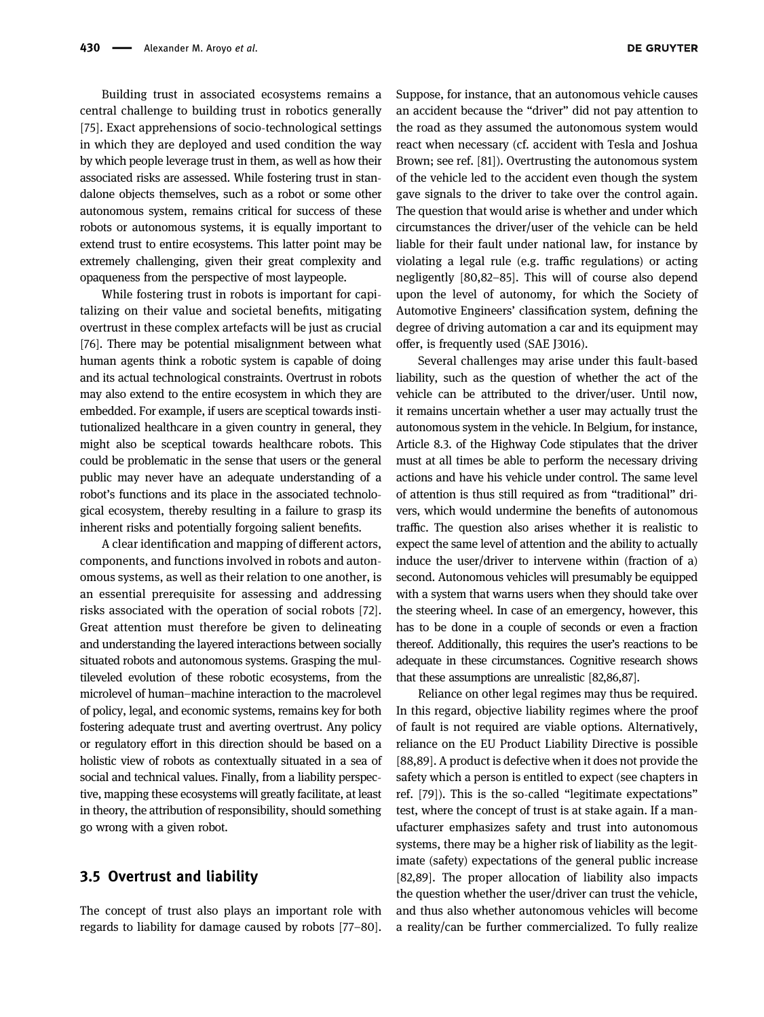Building trust in associated ecosystems remains a central challenge to building trust in robotics generally [[75](#page-12-34)]. Exact apprehensions of socio-technological settings in which they are deployed and used condition the way by which people leverage trust in them, as well as how their associated risks are assessed. While fostering trust in standalone objects themselves, such as a robot or some other autonomous system, remains critical for success of these robots or autonomous systems, it is equally important to extend trust to entire ecosystems. This latter point may be extremely challenging, given their great complexity and opaqueness from the perspective of most laypeople.

While fostering trust in robots is important for capitalizing on their value and societal benefits, mitigating overtrust in these complex artefacts will be just as crucial [[76](#page-13-0)]. There may be potential misalignment between what human agents think a robotic system is capable of doing and its actual technological constraints. Overtrust in robots may also extend to the entire ecosystem in which they are embedded. For example, if users are sceptical towards institutionalized healthcare in a given country in general, they might also be sceptical towards healthcare robots. This could be problematic in the sense that users or the general public may never have an adequate understanding of a robot's functions and its place in the associated technological ecosystem, thereby resulting in a failure to grasp its inherent risks and potentially forgoing salient benefits.

A clear identification and mapping of different actors, components, and functions involved in robots and autonomous systems, as well as their relation to one another, is an essential prerequisite for assessing and addressing risks associated with the operation of social robots [[72](#page-12-31)]. Great attention must therefore be given to delineating and understanding the layered interactions between socially situated robots and autonomous systems. Grasping the multileveled evolution of these robotic ecosystems, from the microlevel of human–machine interaction to the macrolevel of policy, legal, and economic systems, remains key for both fostering adequate trust and averting overtrust. Any policy or regulatory effort in this direction should be based on a holistic view of robots as contextually situated in a sea of social and technical values. Finally, from a liability perspective, mapping these ecosystems will greatly facilitate, at least in theory, the attribution of responsibility, should something go wrong with a given robot.

#### 3.5 Overtrust and liability

The concept of trust also plays an important role with regards to liability for damage caused by robots [[77](#page-13-1)–[80](#page-13-2)]. Suppose, for instance, that an autonomous vehicle causes an accident because the "driver" did not pay attention to the road as they assumed the autonomous system would react when necessary (cf. accident with Tesla and Joshua Brown; see ref. [[81](#page-13-3)]). Overtrusting the autonomous system of the vehicle led to the accident even though the system gave signals to the driver to take over the control again. The question that would arise is whether and under which circumstances the driver/user of the vehicle can be held liable for their fault under national law, for instance by violating a legal rule (e.g. traffic regulations) or acting negligently [[80](#page-13-2),[82](#page-13-4)–[85](#page-13-5)]. This will of course also depend upon the level of autonomy, for which the Society of Automotive Engineers' classification system, defining the degree of driving automation a car and its equipment may offer, is frequently used (SAE J3016).

Several challenges may arise under this fault-based liability, such as the question of whether the act of the vehicle can be attributed to the driver/user. Until now, it remains uncertain whether a user may actually trust the autonomous system in the vehicle. In Belgium, for instance, Article 8.3. of the Highway Code stipulates that the driver must at all times be able to perform the necessary driving actions and have his vehicle under control. The same level of attention is thus still required as from "traditional" drivers, which would undermine the benefits of autonomous traffic. The question also arises whether it is realistic to expect the same level of attention and the ability to actually induce the user/driver to intervene within (fraction of a) second. Autonomous vehicles will presumably be equipped with a system that warns users when they should take over the steering wheel. In case of an emergency, however, this has to be done in a couple of seconds or even a fraction thereof. Additionally, this requires the user's reactions to be adequate in these circumstances. Cognitive research shows that these assumptions are unrealistic [[82](#page-13-4)[,86](#page-13-6)[,87](#page-13-7)].

Reliance on other legal regimes may thus be required. In this regard, objective liability regimes where the proof of fault is not required are viable options. Alternatively, reliance on the EU Product Liability Directive is possible [[88](#page-13-8)[,89](#page-13-9)]. A product is defective when it does not provide the safety which a person is entitled to expect (see chapters in ref. [[79](#page-13-10)]). This is the so-called "legitimate expectations" test, where the concept of trust is at stake again. If a manufacturer emphasizes safety and trust into autonomous systems, there may be a higher risk of liability as the legitimate (safety) expectations of the general public increase [[82](#page-13-4)[,89](#page-13-9)]. The proper allocation of liability also impacts the question whether the user/driver can trust the vehicle, and thus also whether autonomous vehicles will become a reality/can be further commercialized. To fully realize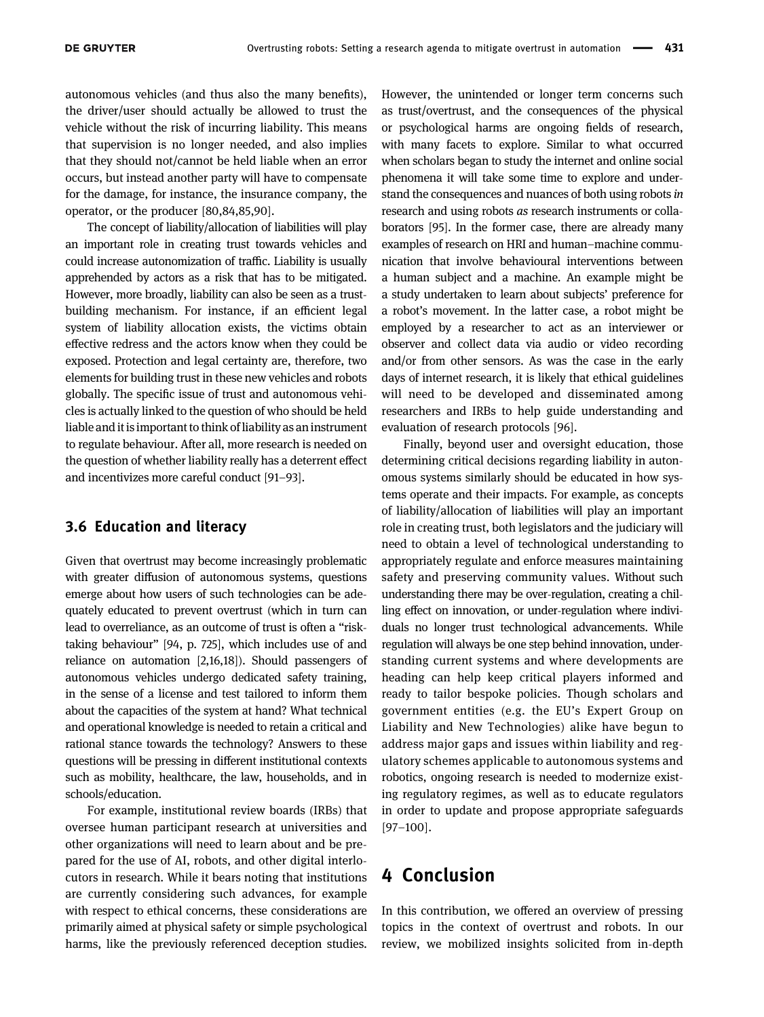autonomous vehicles (and thus also the many benefits), the driver/user should actually be allowed to trust the vehicle without the risk of incurring liability. This means that supervision is no longer needed, and also implies that they should not/cannot be held liable when an error occurs, but instead another party will have to compensate for the damage, for instance, the insurance company, the operator, or the producer [[80](#page-13-2)[,84](#page-13-11)[,85](#page-13-5)[,90](#page-13-12)].

The concept of liability/allocation of liabilities will play an important role in creating trust towards vehicles and could increase autonomization of traffic. Liability is usually apprehended by actors as a risk that has to be mitigated. However, more broadly, liability can also be seen as a trustbuilding mechanism. For instance, if an efficient legal system of liability allocation exists, the victims obtain effective redress and the actors know when they could be exposed. Protection and legal certainty are, therefore, two elements for building trust in these new vehicles and robots globally. The specific issue of trust and autonomous vehicles is actually linked to the question of who should be held liable and it is important to think of liability as an instrument to regulate behaviour. After all, more research is needed on the question of whether liability really has a deterrent effect and incentivizes more careful conduct [[91](#page-13-13)–[93](#page-13-14)].

#### 3.6 Education and literacy

Given that overtrust may become increasingly problematic with greater diffusion of autonomous systems, questions emerge about how users of such technologies can be adequately educated to prevent overtrust (which in turn can lead to overreliance, as an outcome of trust is often a "risktaking behaviour" [[94,](#page-13-15) p. 725], which includes use of and reliance on automation [[2](#page-10-1)[,16,](#page-11-11)[18](#page-11-12)]). Should passengers of autonomous vehicles undergo dedicated safety training, in the sense of a license and test tailored to inform them about the capacities of the system at hand? What technical and operational knowledge is needed to retain a critical and rational stance towards the technology? Answers to these questions will be pressing in different institutional contexts such as mobility, healthcare, the law, households, and in schools/education.

For example, institutional review boards (IRBs) that oversee human participant research at universities and other organizations will need to learn about and be prepared for the use of AI, robots, and other digital interlocutors in research. While it bears noting that institutions are currently considering such advances, for example with respect to ethical concerns, these considerations are primarily aimed at physical safety or simple psychological harms, like the previously referenced deception studies.

However, the unintended or longer term concerns such as trust/overtrust, and the consequences of the physical or psychological harms are ongoing fields of research, with many facets to explore. Similar to what occurred when scholars began to study the internet and online social phenomena it will take some time to explore and understand the consequences and nuances of both using robots in research and using robots as research instruments or collaborators [[95](#page-13-16)]. In the former case, there are already many examples of research on HRI and human–machine communication that involve behavioural interventions between a human subject and a machine. An example might be a study undertaken to learn about subjects' preference for a robot's movement. In the latter case, a robot might be employed by a researcher to act as an interviewer or observer and collect data via audio or video recording and/or from other sensors. As was the case in the early days of internet research, it is likely that ethical guidelines will need to be developed and disseminated among researchers and IRBs to help guide understanding and evaluation of research protocols [[96](#page-13-17)].

Finally, beyond user and oversight education, those determining critical decisions regarding liability in autonomous systems similarly should be educated in how systems operate and their impacts. For example, as concepts of liability/allocation of liabilities will play an important role in creating trust, both legislators and the judiciary will need to obtain a level of technological understanding to appropriately regulate and enforce measures maintaining safety and preserving community values. Without such understanding there may be over-regulation, creating a chilling effect on innovation, or under-regulation where individuals no longer trust technological advancements. While regulation will always be one step behind innovation, understanding current systems and where developments are heading can help keep critical players informed and ready to tailor bespoke policies. Though scholars and government entities (e.g. the EU's Expert Group on Liability and New Technologies) alike have begun to address major gaps and issues within liability and regulatory schemes applicable to autonomous systems and robotics, ongoing research is needed to modernize existing regulatory regimes, as well as to educate regulators in order to update and propose appropriate safeguards [[97](#page-13-18)–[100](#page-13-19)].

# 4 Conclusion

In this contribution, we offered an overview of pressing topics in the context of overtrust and robots. In our review, we mobilized insights solicited from in-depth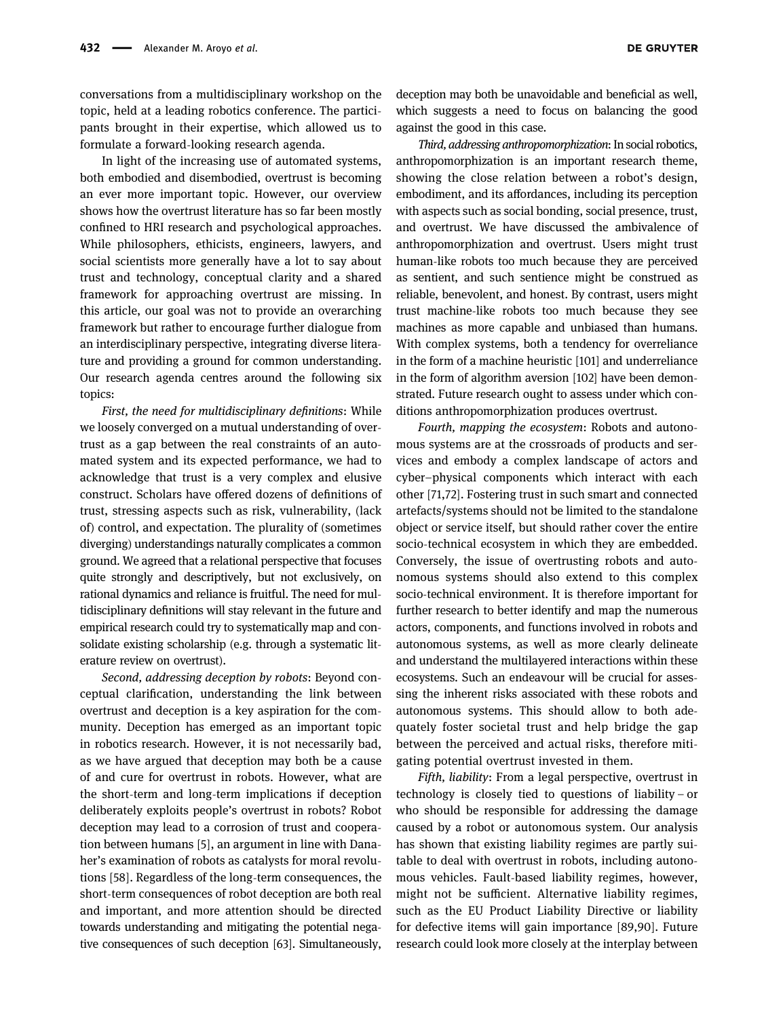conversations from a multidisciplinary workshop on the topic, held at a leading robotics conference. The participants brought in their expertise, which allowed us to formulate a forward-looking research agenda.

In light of the increasing use of automated systems, both embodied and disembodied, overtrust is becoming an ever more important topic. However, our overview shows how the overtrust literature has so far been mostly confined to HRI research and psychological approaches. While philosophers, ethicists, engineers, lawyers, and social scientists more generally have a lot to say about trust and technology, conceptual clarity and a shared framework for approaching overtrust are missing. In this article, our goal was not to provide an overarching framework but rather to encourage further dialogue from an interdisciplinary perspective, integrating diverse literature and providing a ground for common understanding. Our research agenda centres around the following six topics:

First, the need for multidisciplinary definitions: While we loosely converged on a mutual understanding of overtrust as a gap between the real constraints of an automated system and its expected performance, we had to acknowledge that trust is a very complex and elusive construct. Scholars have offered dozens of definitions of trust, stressing aspects such as risk, vulnerability, (lack of) control, and expectation. The plurality of (sometimes diverging) understandings naturally complicates a common ground. We agreed that a relational perspective that focuses quite strongly and descriptively, but not exclusively, on rational dynamics and reliance is fruitful. The need for multidisciplinary definitions will stay relevant in the future and empirical research could try to systematically map and consolidate existing scholarship (e.g. through a systematic literature review on overtrust).

Second, addressing deception by robots: Beyond conceptual clarification, understanding the link between overtrust and deception is a key aspiration for the community. Deception has emerged as an important topic in robotics research. However, it is not necessarily bad, as we have argued that deception may both be a cause of and cure for overtrust in robots. However, what are the short-term and long-term implications if deception deliberately exploits people's overtrust in robots? Robot deception may lead to a corrosion of trust and cooperation between humans [[5](#page-11-0)], an argument in line with Danaher's examination of robots as catalysts for moral revolutions [[58](#page-12-17)]. Regardless of the long-term consequences, the short-term consequences of robot deception are both real and important, and more attention should be directed towards understanding and mitigating the potential negative consequences of such deception [[63](#page-12-22)]. Simultaneously,

deception may both be unavoidable and beneficial as well, which suggests a need to focus on balancing the good against the good in this case.

Third, addressing anthropomorphization: In social robotics, anthropomorphization is an important research theme, showing the close relation between a robot's design, embodiment, and its affordances, including its perception with aspects such as social bonding, social presence, trust, and overtrust. We have discussed the ambivalence of anthropomorphization and overtrust. Users might trust human-like robots too much because they are perceived as sentient, and such sentience might be construed as reliable, benevolent, and honest. By contrast, users might trust machine-like robots too much because they see machines as more capable and unbiased than humans. With complex systems, both a tendency for overreliance in the form of a machine heuristic [[101](#page-13-20)] and underreliance in the form of algorithm aversion [[102](#page-13-21)] have been demonstrated. Future research ought to assess under which conditions anthropomorphization produces overtrust.

Fourth, mapping the ecosystem: Robots and autonomous systems are at the crossroads of products and services and embody a complex landscape of actors and cyber–physical components which interact with each other [[71](#page-12-30)[,72](#page-12-31)]. Fostering trust in such smart and connected artefacts/systems should not be limited to the standalone object or service itself, but should rather cover the entire socio-technical ecosystem in which they are embedded. Conversely, the issue of overtrusting robots and autonomous systems should also extend to this complex socio-technical environment. It is therefore important for further research to better identify and map the numerous actors, components, and functions involved in robots and autonomous systems, as well as more clearly delineate and understand the multilayered interactions within these ecosystems. Such an endeavour will be crucial for assessing the inherent risks associated with these robots and autonomous systems. This should allow to both adequately foster societal trust and help bridge the gap between the perceived and actual risks, therefore mitigating potential overtrust invested in them.

Fifth, liability: From a legal perspective, overtrust in technology is closely tied to questions of liability – or who should be responsible for addressing the damage caused by a robot or autonomous system. Our analysis has shown that existing liability regimes are partly suitable to deal with overtrust in robots, including autonomous vehicles. Fault-based liability regimes, however, might not be sufficient. Alternative liability regimes, such as the EU Product Liability Directive or liability for defective items will gain importance [[89](#page-13-9)[,90](#page-13-12)]. Future research could look more closely at the interplay between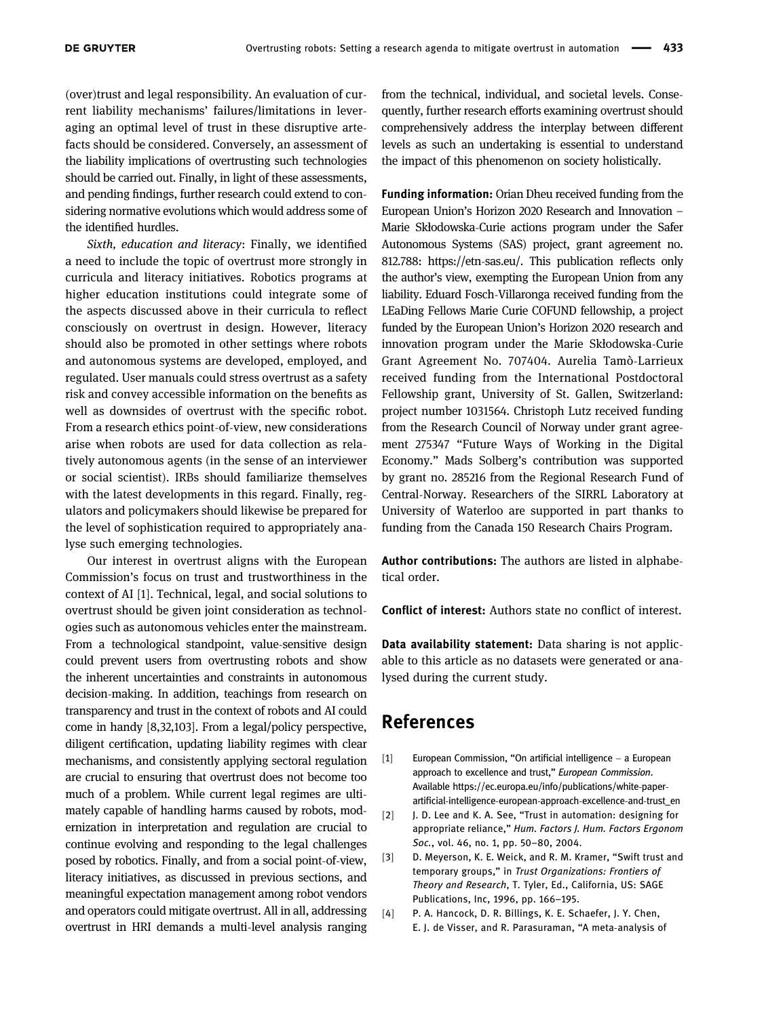(over)trust and legal responsibility. An evaluation of current liability mechanisms' failures/limitations in leveraging an optimal level of trust in these disruptive artefacts should be considered. Conversely, an assessment of the liability implications of overtrusting such technologies should be carried out. Finally, in light of these assessments, and pending findings, further research could extend to considering normative evolutions which would address some of the identified hurdles.

Sixth, education and literacy: Finally, we identified a need to include the topic of overtrust more strongly in curricula and literacy initiatives. Robotics programs at higher education institutions could integrate some of the aspects discussed above in their curricula to reflect consciously on overtrust in design. However, literacy should also be promoted in other settings where robots and autonomous systems are developed, employed, and regulated. User manuals could stress overtrust as a safety risk and convey accessible information on the benefits as well as downsides of overtrust with the specific robot. From a research ethics point-of-view, new considerations arise when robots are used for data collection as relatively autonomous agents (in the sense of an interviewer or social scientist). IRBs should familiarize themselves with the latest developments in this regard. Finally, regulators and policymakers should likewise be prepared for the level of sophistication required to appropriately analyse such emerging technologies.

Our interest in overtrust aligns with the European Commission's focus on trust and trustworthiness in the context of AI [[1](#page-10-0)]. Technical, legal, and social solutions to overtrust should be given joint consideration as technologies such as autonomous vehicles enter the mainstream. From a technological standpoint, value-sensitive design could prevent users from overtrusting robots and show the inherent uncertainties and constraints in autonomous decision-making. In addition, teachings from research on transparency and trust in the context of robots and AI could come in handy [[8](#page-11-3),[32](#page-11-26),[103](#page-13-22)]. From a legal/policy perspective, diligent certification, updating liability regimes with clear mechanisms, and consistently applying sectoral regulation are crucial to ensuring that overtrust does not become too much of a problem. While current legal regimes are ultimately capable of handling harms caused by robots, modernization in interpretation and regulation are crucial to continue evolving and responding to the legal challenges posed by robotics. Finally, and from a social point-of-view, literacy initiatives, as discussed in previous sections, and meaningful expectation management among robot vendors and operators could mitigate overtrust. All in all, addressing overtrust in HRI demands a multi-level analysis ranging

from the technical, individual, and societal levels. Consequently, further research efforts examining overtrust should comprehensively address the interplay between different levels as such an undertaking is essential to understand the impact of this phenomenon on society holistically.

Funding information: Orian Dheu received funding from the European Union's Horizon 2020 Research and Innovation – Marie Skłodowska-Curie actions program under the Safer Autonomous Systems (SAS) project, grant agreement no. 812.788: [https://etn](https://etn-sas.eu/)-sas.eu/. This publication reflects only the author's view, exempting the European Union from any liability. Eduard Fosch-Villaronga received funding from the LEaDing Fellows Marie Curie COFUND fellowship, a project funded by the European Union's Horizon 2020 research and innovation program under the Marie Skłodowska-Curie Grant Agreement No. 707404. Aurelia Tamò-Larrieux received funding from the International Postdoctoral Fellowship grant, University of St. Gallen, Switzerland: project number 1031564. Christoph Lutz received funding from the Research Council of Norway under grant agreement 275347 "Future Ways of Working in the Digital Economy." Mads Solberg's contribution was supported by grant no. 285216 from the Regional Research Fund of Central-Norway. Researchers of the SIRRL Laboratory at University of Waterloo are supported in part thanks to funding from the Canada 150 Research Chairs Program.

Author contributions: The authors are listed in alphabetical order.

Conflict of interest: Authors state no conflict of interest.

Data availability statement: Data sharing is not applicable to this article as no datasets were generated or analysed during the current study.

## References

- <span id="page-10-0"></span>[1] European Commission, "On artificial intelligence − a European approach to excellence and trust," European Commission. Available [https://ec.europa.eu/info/publications/white](https://ec.europa.eu/info/publications/white-paper-artificial-intelligence-european-approach-excellence-and-trust_en)-paperartificial-[intelligence](https://ec.europa.eu/info/publications/white-paper-artificial-intelligence-european-approach-excellence-and-trust_en)-european-approach-excellence-and-trust\_en
- <span id="page-10-1"></span>[2] J. D. Lee and K. A. See, "Trust in automation: designing for appropriate reliance," Hum. Factors J. Hum. Factors Ergonom Soc., vol. 46, no. 1, pp. 50–80, 2004.
- <span id="page-10-2"></span>[3] D. Meyerson, K. E. Weick, and R. M. Kramer, "Swift trust and temporary groups," in Trust Organizations: Frontiers of Theory and Research, T. Tyler, Ed., California, US: SAGE Publications, Inc, 1996, pp. 166–195.
- <span id="page-10-3"></span>[4] P. A. Hancock, D. R. Billings, K. E. Schaefer, J. Y. Chen, E. J. de Visser, and R. Parasuraman, "A meta-analysis of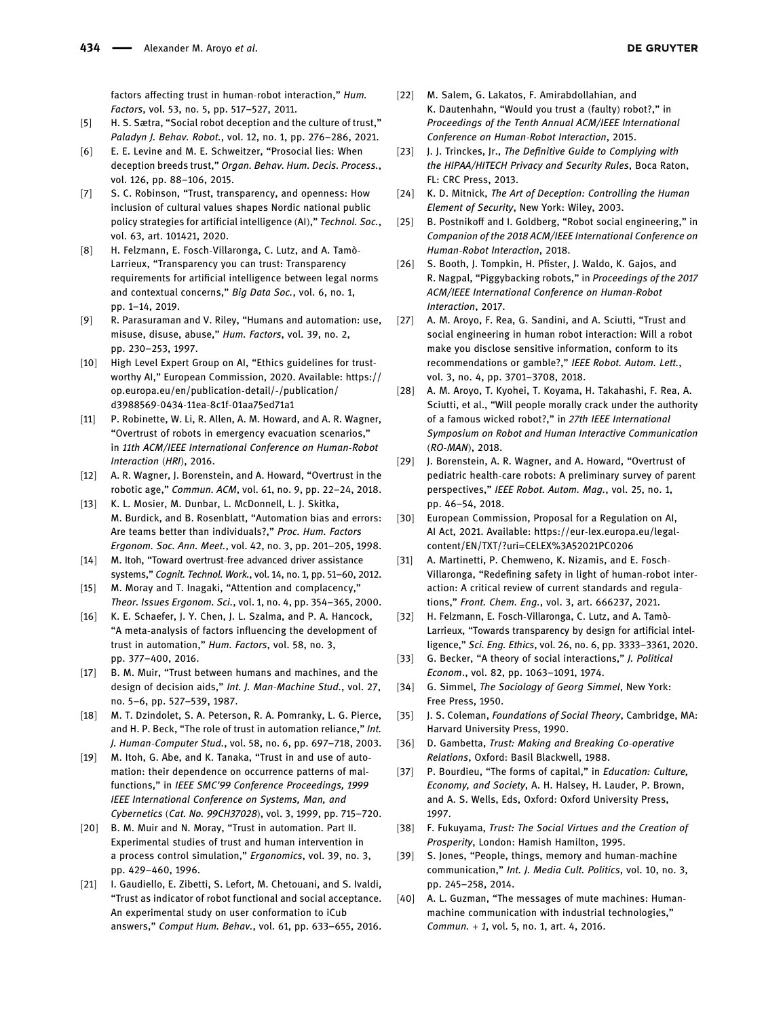factors affecting trust in human-robot interaction," Hum. Factors, vol. 53, no. 5, pp. 517–527, 2011.

- <span id="page-11-0"></span>[5] H. S. Sætra, "Social robot deception and the culture of trust," Paladyn J. Behav. Robot., vol. 12, no. 1, pp. 276–286, 2021.
- <span id="page-11-1"></span>[6] E. E. Levine and M. E. Schweitzer, "Prosocial lies: When deception breeds trust," Organ. Behav. Hum. Decis. Process., vol. 126, pp. 88–106, 2015.
- <span id="page-11-2"></span>[7] S. C. Robinson, "Trust, transparency, and openness: How inclusion of cultural values shapes Nordic national public policy strategies for artificial intelligence (AI)," Technol. Soc., vol. 63, art. 101421, 2020.
- <span id="page-11-3"></span>[8] H. Felzmann, E. Fosch-Villaronga, C. Lutz, and A. Tamò-Larrieux, "Transparency you can trust: Transparency requirements for artificial intelligence between legal norms and contextual concerns," Big Data Soc., vol. 6, no. 1, pp. 1–14, 2019.
- <span id="page-11-4"></span>[9] R. Parasuraman and V. Riley, "Humans and automation: use, misuse, disuse, abuse," Hum. Factors, vol. 39, no. 2, pp. 230–253, 1997.
- <span id="page-11-5"></span>[10] High Level Expert Group on AI, "Ethics guidelines for trustworthy AI," European Commission, 2020. Available: [https://](https://op.europa.eu/en/publication-detail/-/publication/d3988569-0434-11ea-8c1f-01aa75ed71a1) [op.europa.eu/en/publication](https://op.europa.eu/en/publication-detail/-/publication/d3988569-0434-11ea-8c1f-01aa75ed71a1)-detail/-/publication/ d3988569-0434-11ea-8c1f-[01aa75ed71a1](https://op.europa.eu/en/publication-detail/-/publication/d3988569-0434-11ea-8c1f-01aa75ed71a1)
- <span id="page-11-6"></span>[11] P. Robinette, W. Li, R. Allen, A. M. Howard, and A. R. Wagner, "Overtrust of robots in emergency evacuation scenarios," in 11th ACM/IEEE International Conference on Human-Robot Interaction (HRI), 2016.
- <span id="page-11-7"></span>[12] A. R. Wagner, J. Borenstein, and A. Howard, "Overtrust in the robotic age," Commun. ACM, vol. 61, no. 9, pp. 22–24, 2018.
- <span id="page-11-8"></span>[13] K. L. Mosier, M. Dunbar, L. McDonnell, L. J. Skitka, M. Burdick, and B. Rosenblatt, "Automation bias and errors: Are teams better than individuals?," Proc. Hum. Factors Ergonom. Soc. Ann. Meet., vol. 42, no. 3, pp. 201–205, 1998.
- <span id="page-11-9"></span>[14] M. Itoh, "Toward overtrust-free advanced driver assistance systems," Cognit. Technol. Work., vol. 14, no. 1, pp. 51–60, 2012.
- <span id="page-11-10"></span>[15] M. Moray and T. Inagaki, "Attention and complacency," Theor. Issues Ergonom. Sci., vol. 1, no. 4, pp. 354–365, 2000.
- <span id="page-11-11"></span>[16] K. E. Schaefer, J. Y. Chen, J. L. Szalma, and P. A. Hancock, "A meta-analysis of factors influencing the development of trust in automation," Hum. Factors, vol. 58, no. 3, pp. 377–400, 2016.
- [17] B. M. Muir, "Trust between humans and machines, and the design of decision aids," Int. J. Man-Machine Stud., vol. 27, no. 5–6, pp. 527–539, 1987.
- <span id="page-11-12"></span>[18] M. T. Dzindolet, S. A. Peterson, R. A. Pomranky, L. G. Pierce, and H. P. Beck, "The role of trust in automation reliance," Int. J. Human-Computer Stud., vol. 58, no. 6, pp. 697–718, 2003.
- <span id="page-11-13"></span>[19] M. Itoh, G. Abe, and K. Tanaka, "Trust in and use of automation: their dependence on occurrence patterns of malfunctions," in IEEE SMC'99 Conference Proceedings, 1999 IEEE International Conference on Systems, Man, and Cybernetics (Cat. No. 99CH37028), vol. 3, 1999, pp. 715–720.
- <span id="page-11-14"></span>[20] B. M. Muir and N. Moray, "Trust in automation. Part II. Experimental studies of trust and human intervention in a process control simulation," Ergonomics, vol. 39, no. 3, pp. 429–460, 1996.
- <span id="page-11-15"></span>[21] I. Gaudiello, E. Zibetti, S. Lefort, M. Chetouani, and S. Ivaldi, "Trust as indicator of robot functional and social acceptance. An experimental study on user conformation to iCub answers," Comput Hum. Behav., vol. 61, pp. 633–655, 2016.
- <span id="page-11-16"></span>[22] M. Salem, G. Lakatos, F. Amirabdollahian, and K. Dautenhahn, "Would you trust a (faulty) robot?," in Proceedings of the Tenth Annual ACM/IEEE International Conference on Human-Robot Interaction, 2015.
- <span id="page-11-17"></span>[23] J. J. Trinckes, Jr., The Definitive Guide to Complying with the HIPAA/HITECH Privacy and Security Rules, Boca Raton, FL: CRC Press, 2013.
- <span id="page-11-18"></span>[24] K. D. Mitnick, The Art of Deception: Controlling the Human Element of Security, New York: Wiley, 2003.
- <span id="page-11-19"></span>[25] B. Postnikoff and I. Goldberg, "Robot social engineering," in Companion of the 2018 ACM/IEEE International Conference on Human-Robot Interaction, 2018.
- <span id="page-11-20"></span>[26] S. Booth, J. Tompkin, H. Pfister, J. Waldo, K. Gajos, and R. Nagpal, "Piggybacking robots," in Proceedings of the 2017 ACM/IEEE International Conference on Human-Robot Interaction, 2017.
- <span id="page-11-21"></span>[27] A. M. Aroyo, F. Rea, G. Sandini, and A. Sciutti, "Trust and social engineering in human robot interaction: Will a robot make you disclose sensitive information, conform to its recommendations or gamble?," IEEE Robot. Autom. Lett., vol. 3, no. 4, pp. 3701–3708, 2018.
- <span id="page-11-22"></span>[28] A. M. Aroyo, T. Kyohei, T. Koyama, H. Takahashi, F. Rea, A. Sciutti, et al., "Will people morally crack under the authority of a famous wicked robot?," in 27th IEEE International Symposium on Robot and Human Interactive Communication (RO-MAN), 2018.
- <span id="page-11-23"></span>[29] J. Borenstein, A. R. Wagner, and A. Howard, "Overtrust of pediatric health-care robots: A preliminary survey of parent perspectives," IEEE Robot. Autom. Mag., vol. 25, no. 1, pp. 46–54, 2018.
- <span id="page-11-24"></span>[30] European Commission, Proposal for a Regulation on AI, AI Act, 2021. Available: https://eur-[lex.europa.eu/legal](https://eur-lex.europa.eu/legal-content/EN/TXT/?uri=CELEX%3A52021PC0206)content/EN/TXT/?uri=[CELEX%3A52021PC0206](https://eur-lex.europa.eu/legal-content/EN/TXT/?uri=CELEX%3A52021PC0206)
- <span id="page-11-25"></span>[31] A. Martinetti, P. Chemweno, K. Nizamis, and E. Fosch-Villaronga, "Redefining safety in light of human-robot interaction: A critical review of current standards and regulations," Front. Chem. Eng., vol. 3, art. 666237, 2021.
- <span id="page-11-26"></span>[32] H. Felzmann, E. Fosch-Villaronga, C. Lutz, and A. Tamò-Larrieux, "Towards transparency by design for artificial intelligence," Sci. Eng. Ethics, vol. 26, no. 6, pp. 3333–3361, 2020.
- <span id="page-11-27"></span>[33] G. Becker, "A theory of social interactions," J. Political Econom., vol. 82, pp. 1063–1091, 1974.
- <span id="page-11-28"></span>[34] G. Simmel, The Sociology of Georg Simmel, New York: Free Press, 1950.
- <span id="page-11-29"></span>[35] J. S. Coleman, Foundations of Social Theory, Cambridge, MA: Harvard University Press, 1990.
- <span id="page-11-30"></span>[36] D. Gambetta, Trust: Making and Breaking Co-operative Relations, Oxford: Basil Blackwell, 1988.
- <span id="page-11-31"></span>[37] P. Bourdieu, "The forms of capital," in Education: Culture, Economy, and Society, A. H. Halsey, H. Lauder, P. Brown, and A. S. Wells, Eds, Oxford: Oxford University Press, 1997.
- <span id="page-11-32"></span>[38] F. Fukuyama, Trust: The Social Virtues and the Creation of Prosperity, London: Hamish Hamilton, 1995.
- <span id="page-11-33"></span>[39] S. Jones, "People, things, memory and human-machine communication," Int. J. Media Cult. Politics, vol. 10, no. 3, pp. 245–258, 2014.
- [40] A. L. Guzman, "The messages of mute machines: Humanmachine communication with industrial technologies," Commun. + 1, vol. 5, no. 1, art. 4, 2016.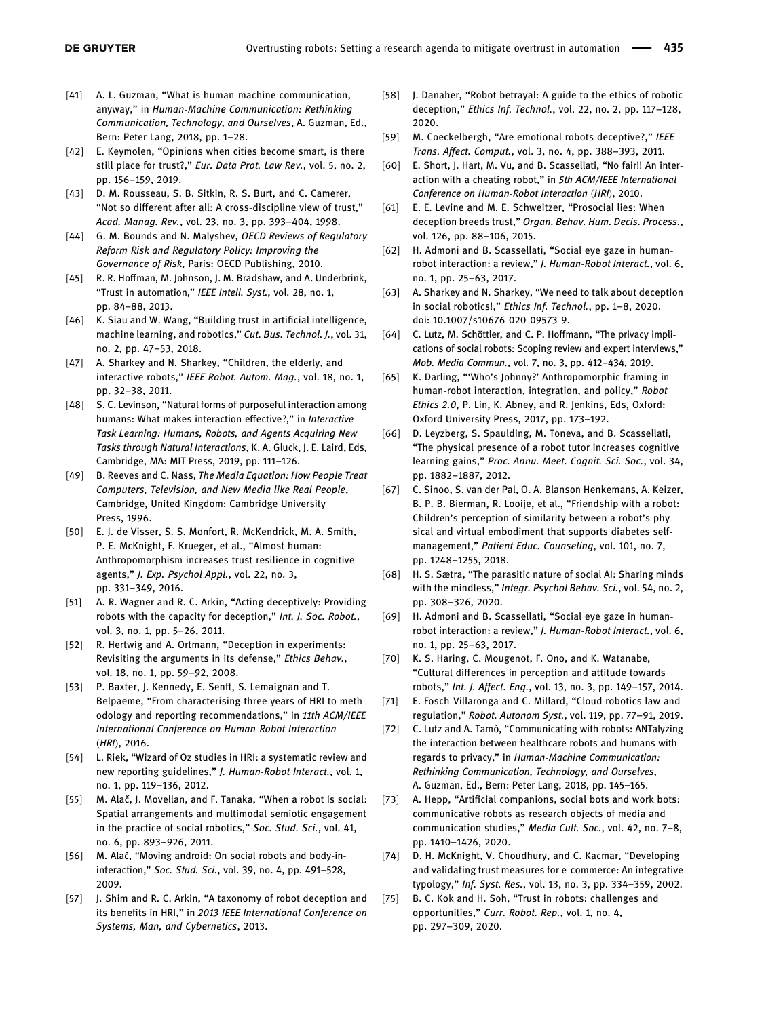- <span id="page-12-0"></span>[41] A. L. Guzman, "What is human-machine communication, anyway," in Human-Machine Communication: Rethinking Communication, Technology, and Ourselves, A. Guzman, Ed., Bern: Peter Lang, 2018, pp. 1–28.
- <span id="page-12-1"></span>[42] E. Keymolen, "Opinions when cities become smart, is there still place for trust?," Eur. Data Prot. Law Rev., vol. 5, no. 2, pp. 156–159, 2019.
- <span id="page-12-2"></span>[43] D. M. Rousseau, S. B. Sitkin, R. S. Burt, and C. Camerer, "Not so different after all: A cross-discipline view of trust," Acad. Manag. Rev., vol. 23, no. 3, pp. 393–404, 1998.
- <span id="page-12-3"></span>[44] G. M. Bounds and N. Malyshev, OECD Reviews of Regulatory Reform Risk and Regulatory Policy: Improving the Governance of Risk, Paris: OECD Publishing, 2010.
- <span id="page-12-4"></span>[45] R. R. Hoffman, M. Johnson, J. M. Bradshaw, and A. Underbrink, "Trust in automation," IEEE Intell. Syst., vol. 28, no. 1, pp. 84–88, 2013.
- <span id="page-12-5"></span>[46] K. Siau and W. Wang, "Building trust in artificial intelligence, machine learning, and robotics," Cut. Bus. Technol. J., vol. 31, no. 2, pp. 47–53, 2018.
- <span id="page-12-6"></span>[47] A. Sharkey and N. Sharkey, "Children, the elderly, and interactive robots," IEEE Robot. Autom. Mag., vol. 18, no. 1, pp. 32–38, 2011.
- <span id="page-12-7"></span>[48] S. C. Levinson, "Natural forms of purposeful interaction among humans: What makes interaction effective?," in Interactive Task Learning: Humans, Robots, and Agents Acquiring New Tasks through Natural Interactions, K. A. Gluck, J. E. Laird, Eds, Cambridge, MA: MIT Press, 2019, pp. 111–126.
- <span id="page-12-8"></span>[49] B. Reeves and C. Nass, The Media Equation: How People Treat Computers, Television, and New Media like Real People, Cambridge, United Kingdom: Cambridge University Press, 1996.
- <span id="page-12-9"></span>[50] E. J. de Visser, S. S. Monfort, R. McKendrick, M. A. Smith, P. E. McKnight, F. Krueger, et al., "Almost human: Anthropomorphism increases trust resilience in cognitive agents," J. Exp. Psychol Appl., vol. 22, no. 3, pp. 331–349, 2016.
- <span id="page-12-10"></span>[51] A. R. Wagner and R. C. Arkin, "Acting deceptively: Providing robots with the capacity for deception," Int. J. Soc. Robot., vol. 3, no. 1, pp. 5–26, 2011.
- <span id="page-12-11"></span>[52] R. Hertwig and A. Ortmann, "Deception in experiments: Revisiting the arguments in its defense," Ethics Behav., vol. 18, no. 1, pp. 59–92, 2008.
- <span id="page-12-12"></span>[53] P. Baxter, J. Kennedy, E. Senft, S. Lemaignan and T. Belpaeme, "From characterising three years of HRI to methodology and reporting recommendations," in 11th ACM/IEEE International Conference on Human-Robot Interaction (HRI), 2016.
- <span id="page-12-13"></span>[54] L. Riek, "Wizard of Oz studies in HRI: a systematic review and new reporting guidelines," J. Human-Robot Interact., vol. 1, no. 1, pp. 119–136, 2012.
- <span id="page-12-14"></span>[55] M. Alač, J. Movellan, and F. Tanaka, "When a robot is social: Spatial arrangements and multimodal semiotic engagement in the practice of social robotics," Soc. Stud. Sci., vol. 41, no. 6, pp. 893–926, 2011.
- <span id="page-12-15"></span>[56] M. Alač, "Moving android: On social robots and body-ininteraction," Soc. Stud. Sci., vol. 39, no. 4, pp. 491–528, 2009.
- <span id="page-12-16"></span>[57] J. Shim and R. C. Arkin, "A taxonomy of robot deception and its benefits in HRI," in 2013 IEEE International Conference on Systems, Man, and Cybernetics, 2013.
- <span id="page-12-17"></span>[58] J. Danaher, "Robot betrayal: A guide to the ethics of robotic deception," Ethics Inf. Technol., vol. 22, no. 2, pp. 117–128, 2020.
- <span id="page-12-18"></span>[59] M. Coeckelbergh, "Are emotional robots deceptive?," IEEE Trans. Affect. Comput., vol. 3, no. 4, pp. 388–393, 2011.
- <span id="page-12-19"></span>[60] E. Short, J. Hart, M. Vu, and B. Scassellati, "No fair!! An interaction with a cheating robot," in 5th ACM/IEEE International Conference on Human-Robot Interaction (HRI), 2010.
- <span id="page-12-20"></span>[61] E. E. Levine and M. E. Schweitzer, "Prosocial lies: When deception breeds trust," Organ. Behav. Hum. Decis. Process., vol. 126, pp. 88–106, 2015.
- <span id="page-12-21"></span>[62] H. Admoni and B. Scassellati, "Social eye gaze in humanrobot interaction: a review," J. Human-Robot Interact., vol. 6, no. 1, pp. 25–63, 2017.
- <span id="page-12-22"></span>[63] A. Sharkey and N. Sharkey, "We need to talk about deception in social robotics!," Ethics Inf. Technol., pp. 1–8, 2020. doi: 10.1007/s10676-020-09573-9.
- <span id="page-12-23"></span>[64] C. Lutz, M. Schöttler, and C. P. Hoffmann, "The privacy implications of social robots: Scoping review and expert interviews," Mob. Media Commun., vol. 7, no. 3, pp. 412–434, 2019.
- <span id="page-12-24"></span>[65] K. Darling, "'Who's Johnny?' Anthropomorphic framing in human-robot interaction, integration, and policy," Robot Ethics 2.0, P. Lin, K. Abney, and R. Jenkins, Eds, Oxford: Oxford University Press, 2017, pp. 173–192.
- <span id="page-12-25"></span>[66] D. Leyzberg, S. Spaulding, M. Toneva, and B. Scassellati, "The physical presence of a robot tutor increases cognitive learning gains," Proc. Annu. Meet. Cognit. Sci. Soc., vol. 34, pp. 1882–1887, 2012.
- <span id="page-12-26"></span>[67] C. Sinoo, S. van der Pal, O. A. Blanson Henkemans, A. Keizer, B. P. B. Bierman, R. Looije, et al., "Friendship with a robot: Children's perception of similarity between a robot's physical and virtual embodiment that supports diabetes selfmanagement," Patient Educ. Counseling, vol. 101, no. 7, pp. 1248–1255, 2018.
- <span id="page-12-27"></span>[68] H. S. Sætra, "The parasitic nature of social AI: Sharing minds with the mindless," Integr. Psychol Behav. Sci., vol. 54, no. 2, pp. 308–326, 2020.
- <span id="page-12-28"></span>[69] H. Admoni and B. Scassellati, "Social eye gaze in humanrobot interaction: a review," J. Human-Robot Interact., vol. 6, no. 1, pp. 25–63, 2017.
- <span id="page-12-29"></span>[70] K. S. Haring, C. Mougenot, F. Ono, and K. Watanabe, "Cultural differences in perception and attitude towards robots," Int. J. Affect. Eng., vol. 13, no. 3, pp. 149–157, 2014.
- <span id="page-12-30"></span>[71] E. Fosch-Villaronga and C. Millard, "Cloud robotics law and regulation," Robot. Autonom Syst., vol. 119, pp. 77–91, 2019.
- <span id="page-12-31"></span>[72] C. Lutz and A. Tamò, "Communicating with robots: ANTalyzing the interaction between healthcare robots and humans with regards to privacy," in Human-Machine Communication: Rethinking Communication, Technology, and Ourselves, A. Guzman, Ed., Bern: Peter Lang, 2018, pp. 145–165.
- <span id="page-12-32"></span>[73] A. Hepp, "Artificial companions, social bots and work bots: communicative robots as research objects of media and communication studies," Media Cult. Soc., vol. 42, no. 7–8, pp. 1410–1426, 2020.
- <span id="page-12-33"></span>[74] D. H. McKnight, V. Choudhury, and C. Kacmar, "Developing and validating trust measures for e-commerce: An integrative typology," Inf. Syst. Res., vol. 13, no. 3, pp. 334–359, 2002.
- <span id="page-12-34"></span>[75] B. C. Kok and H. Soh, "Trust in robots: challenges and opportunities," Curr. Robot. Rep., vol. 1, no. 4, pp. 297–309, 2020.